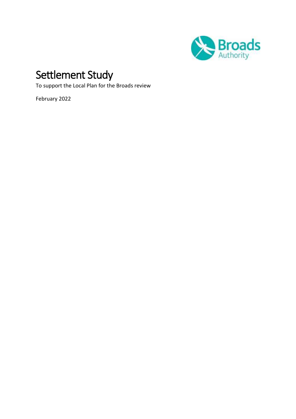

# Settlement Study

To support the Local Plan for the Broads review

February 2022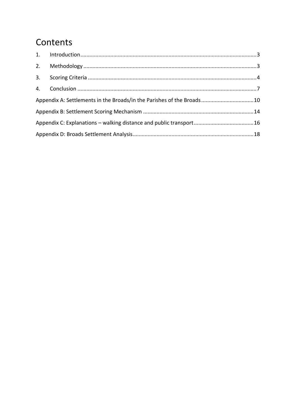## Contents

| Appendix A: Settlements in the Broads/in the Parishes of the Broads 10 |  |
|------------------------------------------------------------------------|--|
|                                                                        |  |
|                                                                        |  |
|                                                                        |  |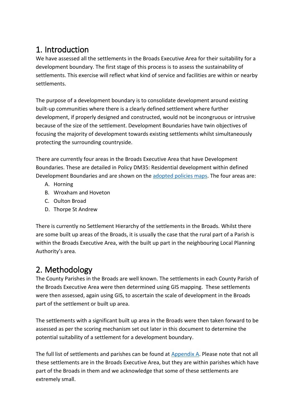## <span id="page-2-0"></span>1. Introduction

 We have assessed all the settlements in the Broads Executive Area for their suitability for a development boundary. The first stage of this process is to assess the sustainability of settlements. This exercise will reflect what kind of service and facilities are within or nearby settlements.

 The purpose of a development boundary is to consolidate development around existing built-up communities where there is a clearly defined settlement where further development, if properly designed and constructed, would not be incongruous or intrusive because of the size of the settlement. Development Boundaries have twin objectives of focusing the majority of development towards existing settlements whilst simultaneously protecting the surrounding countryside.

 There are currently four areas in the Broads Executive Area that have Development Boundaries. These are detailed in Policy DM35: Residential development within defined Development Boundaries and are shown on the [adopted policies maps.](https://www.broads-authority.gov.uk/__data/assets/pdf_file/0029/259283/DEVELOPMENT_BOUNDARIES.pdf) The four areas are:

- A. Horning
- B. Wroxham and Hoveton
- C. Oulton Broad
- D. Thorpe St Andrew

 There is currently no Settlement Hierarchy of the settlements in the Broads. Whilst there are some built up areas of the Broads, it is usually the case that the rural part of a Parish is within the Broads Executive Area, with the built up part in the neighbouring Local Planning Authority's area.

### <span id="page-2-1"></span>2. Methodology

 The County Parishes in the Broads are well known. The settlements in each County Parish of were then assessed, again using GIS, to ascertain the scale of development in the Broads part of the settlement or built up area. the Broads Executive Area were then determined using GIS mapping. These settlements

 The settlements with a significant built up area in the Broads were then taken forward to be assessed as per the scoring mechanism set out later in this document to determine the potential suitability of a settlement for a development boundary.

The full list of settlements and parishes can be found at **Appendix A. Please note that not all**  these settlements are in the Broads Executive Area, but they are within parishes which have part of the Broads in them and we acknowledge that some of these settlements are extremely small.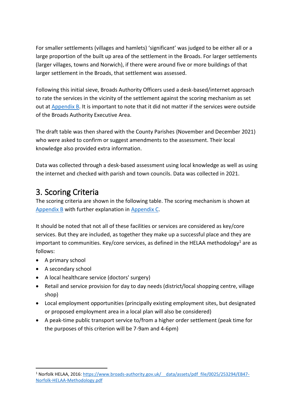For smaller settlements (villages and hamlets) 'significant' was judged to be either all or a large proportion of the built up area of the settlement in the Broads. For larger settlements (larger villages, towns and Norwich), if there were around five or more buildings of that larger settlement in the Broads, that settlement was assessed.

 Following this initial sieve, Broads Authority Officers used a desk-based/internet approach to rate the services in the vicinity of the settlement against the scoring mechanism as set out at **Appendix B**. It is important to note that it did not matter if the services were outside of the Broads Authority Executive Area.

 The draft table was then shared with the County Parishes (November and December 2021) who were asked to confirm or suggest amendments to the assessment. Their local knowledge also provided extra information.

 Data was collected through a desk-based assessment using local knowledge as well as using the internet and checked with parish and town councils. Data was collected in 2021.

## <span id="page-3-0"></span>3. Scoring Criteria

 The scoring criteria are shown in the following table. The scoring mechanism is shown at [Appendix B](#page-13-0) with further explanation in [Appendix C.](#page-15-0)

 It should be noted that not all of these facilities or services are considered as key/core services. But they are included, as together they make up a successful place and they are important to communities. Key/core services, as defined in the HELAA methodology<sup>1</sup> are as follows:

- A primary school
- A secondary school
- A local healthcare service (doctors' surgery)
- • Retail and service provision for day to day needs (district/local shopping centre, village shop)
- • Local employment opportunities (principally existing employment sites, but designated or proposed employment area in a local plan will also be considered)
- • A peak-time public transport service to/from a higher order settlement (peak time for the purposes of this criterion will be 7-9am and 4-6pm)

<sup>-</sup><sup>1</sup> Norfolk HELAA, 2016: https://www.broads-authority.gov.uk/ data/assets/pdf file/0025/253294/EB47-[Norfolk-HELAA-Methodology.pdf](https://www.broads-authority.gov.uk/__data/assets/pdf_file/0025/253294/EB47-Norfolk-HELAA-Methodology.pdf)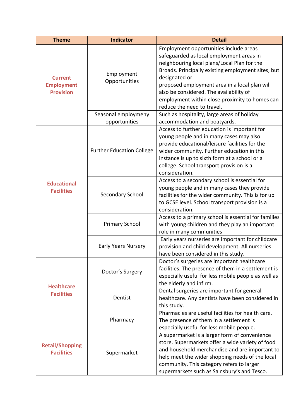| <b>Theme</b>                                            | <b>Indicator</b>                     | <b>Detail</b>                                                                                                                                                                                                                                                                                                                                                                        |
|---------------------------------------------------------|--------------------------------------|--------------------------------------------------------------------------------------------------------------------------------------------------------------------------------------------------------------------------------------------------------------------------------------------------------------------------------------------------------------------------------------|
| <b>Current</b><br><b>Employment</b><br><b>Provision</b> | Employment<br>Opportunities          | Employment opportunities include areas<br>safeguarded as local employment areas in<br>neighbouring local plans/Local Plan for the<br>Broads. Principally existing employment sites, but<br>designated or<br>proposed employment area in a local plan will<br>also be considered. The availability of<br>employment within close proximity to homes can<br>reduce the need to travel. |
|                                                         | Seasonal employmeny<br>opportunities | Such as hospitality, large areas of holiday<br>accommodation and boatyards.                                                                                                                                                                                                                                                                                                          |
|                                                         | <b>Further Education College</b>     | Access to further education is important for<br>young people and in many cases may also<br>provide educational/leisure facilities for the<br>wider community. Further education in this<br>instance is up to sixth form at a school or a<br>college. School transport provision is a<br>consideration.                                                                               |
| <b>Educational</b><br><b>Facilities</b>                 | Secondary School                     | Access to a secondary school is essential for<br>young people and in many cases they provide<br>facilities for the wider community. This is for up<br>to GCSE level. School transport provision is a<br>consideration.                                                                                                                                                               |
|                                                         | <b>Primary School</b>                | Access to a primary school is essential for families<br>with young children and they play an important<br>role in many communities                                                                                                                                                                                                                                                   |
|                                                         | <b>Early Years Nursery</b>           | Early years nurseries are important for childcare<br>provision and child development. All nurseries<br>have been considered in this study.                                                                                                                                                                                                                                           |
| <b>Healthcare</b>                                       | Doctor's Surgery                     | Doctor's surgeries are important healthcare<br>facilities. The presence of them in a settlement is<br>especially useful for less mobile people as well as<br>the elderly and infirm.                                                                                                                                                                                                 |
| <b>Facilities</b>                                       | Dentist                              | Dental surgeries are important for general<br>healthcare. Any dentists have been considered in<br>this study.                                                                                                                                                                                                                                                                        |
|                                                         | Pharmacy                             | Pharmacies are useful facilities for health care.<br>The presence of them in a settlement is<br>especially useful for less mobile people.                                                                                                                                                                                                                                            |
| <b>Retail/Shopping</b><br><b>Facilities</b>             | Supermarket                          | A supermarket is a larger form of convenience<br>store. Supermarkets offer a wide variety of food<br>and household merchandise and are important to<br>help meet the wider shopping needs of the local<br>community. This category refers to larger<br>supermarkets such as Sainsbury's and Tesco.                                                                                   |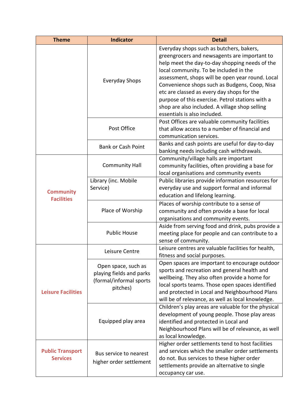| <b>Theme</b>                               | <b>Indicator</b>                                                                       | <b>Detail</b>                                                                                                                                                                                                                                                                                                                                                                                                                                                                 |
|--------------------------------------------|----------------------------------------------------------------------------------------|-------------------------------------------------------------------------------------------------------------------------------------------------------------------------------------------------------------------------------------------------------------------------------------------------------------------------------------------------------------------------------------------------------------------------------------------------------------------------------|
|                                            | <b>Everyday Shops</b>                                                                  | Everyday shops such as butchers, bakers,<br>greengrocers and newsagents are important to<br>help meet the day-to-day shopping needs of the<br>local community. To be included in the<br>assessment, shops will be open year round. Local<br>Convenience shops such as Budgens, Coop, Nisa<br>etc are classed as every day shops for the<br>purpose of this exercise. Petrol stations with a<br>shop are also included. A village shop selling<br>essentials is also included. |
|                                            | Post Office                                                                            | Post Offices are valuable community facilities<br>that allow access to a number of financial and<br>communication services.                                                                                                                                                                                                                                                                                                                                                   |
|                                            | <b>Bank or Cash Point</b>                                                              | Banks and cash points are useful for day-to-day<br>banking needs including cash withdrawals.                                                                                                                                                                                                                                                                                                                                                                                  |
|                                            | <b>Community Hall</b>                                                                  | Community/village halls are important<br>community facilities, often providing a base for<br>local organisations and community events                                                                                                                                                                                                                                                                                                                                         |
| <b>Community</b><br><b>Facilities</b>      | Library (inc. Mobile<br>Service)                                                       | Public libraries provide information resources for<br>everyday use and support formal and informal<br>education and lifelong learning.                                                                                                                                                                                                                                                                                                                                        |
|                                            | Place of Worship                                                                       | Places of worship contribute to a sense of<br>community and often provide a base for local<br>organisations and community events.                                                                                                                                                                                                                                                                                                                                             |
|                                            | <b>Public House</b>                                                                    | Aside from serving food and drink, pubs provide a<br>meeting place for people and can contribute to a<br>sense of community.                                                                                                                                                                                                                                                                                                                                                  |
|                                            | Leisure Centre                                                                         | Leisure centres are valuable facilities for health,<br>fitness and social purposes.                                                                                                                                                                                                                                                                                                                                                                                           |
| <b>Leisure Facilities</b>                  | Open space, such as<br>playing fields and parks<br>(formal/informal sports<br>pitches) | Open spaces are important to encourage outdoor<br>sports and recreation and general health and<br>wellbeing. They also often provide a home for<br>local sports teams. Those open spaces identified<br>and protected in Local and Neighbourhood Plans<br>will be of relevance, as well as local knowledge.                                                                                                                                                                    |
|                                            | Equipped play area                                                                     | Children's play areas are valuable for the physical<br>development of young people. Those play areas<br>identified and protected in Local and<br>Neighbourhood Plans will be of relevance, as well<br>as local knowledge.                                                                                                                                                                                                                                                     |
| <b>Public Transport</b><br><b>Services</b> | Bus service to nearest<br>higher order settlement                                      | Higher order settlements tend to host facilities<br>and services which the smaller order settlements<br>do not. Bus services to these higher order<br>settlements provide an alternative to single<br>occupancy car use.                                                                                                                                                                                                                                                      |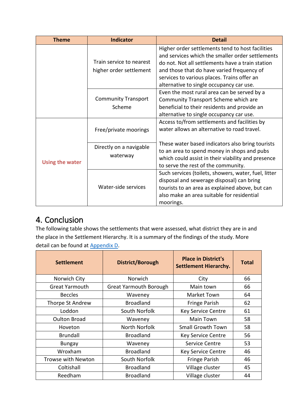| <b>Theme</b>           | Indicator                                           | <b>Detail</b>                                                                                                                                                                                                                                                                                     |
|------------------------|-----------------------------------------------------|---------------------------------------------------------------------------------------------------------------------------------------------------------------------------------------------------------------------------------------------------------------------------------------------------|
|                        | Train service to nearest<br>higher order settlement | Higher order settlements tend to host facilities<br>and services which the smaller order settlements<br>do not. Not all settlements have a train station<br>and those that do have varied frequency of<br>services to various places. Trains offer an<br>alternative to single occupancy car use. |
|                        | <b>Community Transport</b><br>Scheme                | Even the most rural area can be served by a<br>Community Transport Scheme which are<br>beneficial to their residents and provide an<br>alternative to single occupancy car use.                                                                                                                   |
|                        | Free/private moorings                               | Access to/from settlements and facilities by<br>water allows an alternative to road travel.                                                                                                                                                                                                       |
| <b>Using the water</b> | Directly on a navigable<br>waterway                 | These water based indicators also bring tourists<br>to an area to spend money in shops and pubs<br>which could assist in their viability and presence<br>to serve the rest of the community.                                                                                                      |
|                        | Water-side services                                 | Such services (toilets, showers, water, fuel, litter<br>disposal and sewerage disposal) can bring<br>tourists to an area as explained above, but can<br>also make an area suitable for residential<br>moorings.                                                                                   |

## <span id="page-6-0"></span>4. Conclusion

 The following table shows the settlements that were assessed, what district they are in and the place in the Settlement Hierarchy. It is a summary of the findings of the study. More detail can be found at **Appendix D**.

| <b>Settlement</b>     | District/Borough              | <b>Place in District's</b><br><b>Settlement Hierarchy.</b> | <b>Total</b> |
|-----------------------|-------------------------------|------------------------------------------------------------|--------------|
| Norwich City          | Norwich                       | City                                                       | 66           |
| <b>Great Yarmouth</b> | <b>Great Yarmouth Borough</b> | Main town                                                  | 66           |
| <b>Beccles</b>        | Waveney                       | Market Town                                                | 64           |
| Thorpe St Andrew      | <b>Broadland</b>              | Fringe Parish                                              | 62           |
| Loddon                | South Norfolk                 | <b>Key Service Centre</b>                                  | 61           |
| <b>Oulton Broad</b>   | Waveney                       | Main Town                                                  | 58           |
| Hoveton               | North Norfolk                 | <b>Small Growth Town</b>                                   | 58           |
| <b>Brundall</b>       | <b>Broadland</b>              | <b>Key Service Centre</b>                                  | 56           |
| <b>Bungay</b>         | Waveney                       | Service Centre                                             | 53           |
| Wroxham               | <b>Broadland</b>              | <b>Key Service Centre</b>                                  | 46           |
| Trowse with Newton    | South Norfolk                 | <b>Fringe Parish</b>                                       | 46           |
| Coltishall            | <b>Broadland</b>              | Village cluster                                            | 45           |
| Reedham               | <b>Broadland</b>              | Village cluster                                            | 44           |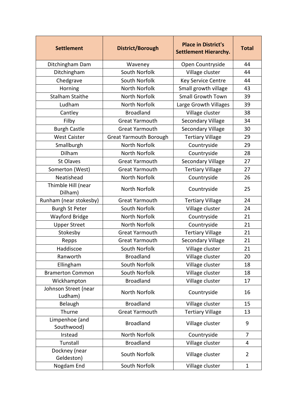| <b>Settlement</b>               | <b>District/Borough</b>       | <b>Place in District's</b><br><b>Settlement Hierarchy.</b> | <b>Total</b>   |
|---------------------------------|-------------------------------|------------------------------------------------------------|----------------|
| Ditchingham Dam                 | Waveney                       | Open Countryside                                           | 44             |
| Ditchingham                     | South Norfolk                 | Village cluster                                            | 44             |
| Chedgrave                       | South Norfolk                 | Key Service Centre                                         | 44             |
| Horning                         | North Norfolk                 | Small growth village                                       | 43             |
| <b>Stalham Staithe</b>          | North Norfolk                 | <b>Small Growth Town</b>                                   | 39             |
| Ludham                          | North Norfolk                 | Large Growth Villages                                      | 39             |
| Cantley                         | <b>Broadland</b>              | Village cluster                                            | 38             |
| Filby                           | <b>Great Yarmouth</b>         | <b>Secondary Village</b>                                   | 34             |
| <b>Burgh Castle</b>             | <b>Great Yarmouth</b>         | <b>Secondary Village</b>                                   | 30             |
| <b>West Caister</b>             | <b>Great Yarmouth Borough</b> | <b>Tertiary Village</b>                                    | 29             |
| Smallburgh                      | North Norfolk                 | Countryside                                                | 29             |
| <b>Dilham</b>                   | North Norfolk                 | Countryside                                                | 28             |
| St Olaves                       | <b>Great Yarmouth</b>         | <b>Secondary Village</b>                                   | 27             |
| Somerton (West)                 | <b>Great Yarmouth</b>         | <b>Tertiary Village</b>                                    | 27             |
| Neatishead                      | North Norfolk                 | Countryside                                                | 26             |
| Thimble Hill (near<br>Dilham)   | North Norfolk                 | Countryside                                                | 25             |
| Runham (near stokesby)          | <b>Great Yarmouth</b>         | <b>Tertiary Village</b>                                    | 24             |
| <b>Burgh St Peter</b>           | South Norfolk                 | Village cluster                                            | 24             |
| Wayford Bridge                  | North Norfolk                 | Countryside                                                | 21             |
| <b>Upper Street</b>             | North Norfolk                 | Countryside                                                | 21             |
| Stokesby                        | <b>Great Yarmouth</b>         | <b>Tertiary Village</b>                                    | 21             |
| Repps                           | <b>Great Yarmouth</b>         | <b>Secondary Village</b>                                   | 21             |
| Haddiscoe                       | South Norfolk                 | Village cluster                                            | 21             |
| Ranworth                        | <b>Broadland</b>              | Village cluster                                            | 20             |
| Ellingham                       | South Norfolk                 | Village cluster                                            | 18             |
| <b>Bramerton Common</b>         | South Norfolk                 | Village cluster                                            | 18             |
| Wickhampton                     | <b>Broadland</b>              | Village cluster                                            | 17             |
| Johnson Street (near<br>Ludham) | North Norfolk                 | Countryside                                                | 16             |
| Belaugh                         | <b>Broadland</b>              | Village cluster                                            | 15             |
| Thurne                          | <b>Great Yarmouth</b>         | <b>Tertiary Village</b>                                    | 13             |
| Limpenhoe (and<br>Southwood)    | <b>Broadland</b>              | Village cluster                                            | 9              |
| Irstead                         | North Norfolk                 | Countryside                                                | 7              |
| Tunstall                        | <b>Broadland</b>              | Village cluster                                            | 4              |
| Dockney (near<br>Geldeston)     | South Norfolk                 | Village cluster                                            | $\overline{2}$ |
| Nogdam End                      | South Norfolk                 | Village cluster                                            | $\mathbf{1}$   |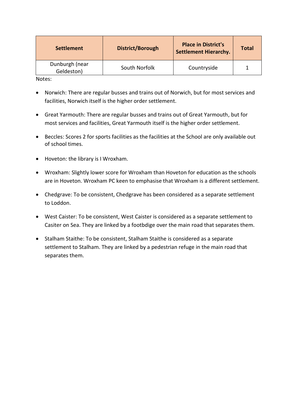| <b>Settlement</b>            | District/Borough | <b>Place in District's</b><br><b>Settlement Hierarchy.</b> | <b>Total</b> |
|------------------------------|------------------|------------------------------------------------------------|--------------|
| Dunburgh (near<br>Geldeston) | South Norfolk    | Countryside                                                |              |

Notes:

- • Norwich: There are regular busses and trains out of Norwich, but for most services and facilities, Norwich itself is the higher order settlement.
- • Great Yarmouth: There are regular busses and trains out of Great Yarmouth, but for most services and facilities, Great Yarmouth itself is the higher order settlement.
- • Beccles: Scores 2 for sports facilities as the facilities at the School are only available out of school times.
- Hoveton: the library is I Wroxham.
- • Wroxham: Slightly lower score for Wroxham than Hoveton for education as the schools are in Hoveton. Wroxham PC keen to emphasise that Wroxham is a different settlement.
- • Chedgrave: To be consistent, Chedgrave has been considered as a separate settlement to Loddon.
- • West Caister: To be consistent, West Caister is considered as a separate settlement to Casiter on Sea. They are linked by a footbdige over the main road that separates them.
- • Stalham Staithe: To be consistent, Stalham Staithe is considered as a separate settlement to Stalham. They are linked by a pedestrian refuge in the main road that separates them.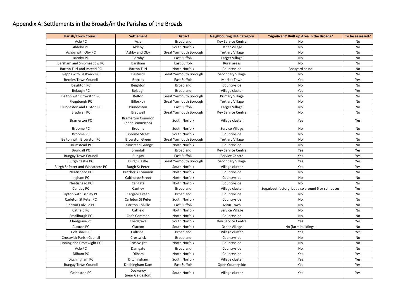#### <span id="page-9-0"></span>Appendix A: Settlements in the Broads/in the Parishes of the Broads

| <b>Parish/Town Council</b>       | <b>Settlement</b>                           | <b>District</b>               | <b>Neighbouring LPA Category</b> | 'Significant' Built up Area in the Broads?        | To be assessed? |
|----------------------------------|---------------------------------------------|-------------------------------|----------------------------------|---------------------------------------------------|-----------------|
| Acle PC                          | Acle                                        | <b>Broadland</b>              | Key Service Centre               | No.                                               | No              |
| Aldeby PC                        | Aldeby                                      | South Norfolk                 | <b>Other Village</b>             | No                                                | No              |
| Ashby with Oby PC                | Ashby and Oby                               | <b>Great Yarmouth Borough</b> | <b>Tertiary Village</b>          | No                                                | No              |
| Barnby PC                        | Barnby                                      | <b>East Suffolk</b>           | Larger Village                   | No                                                | No              |
| Barsham and Shipmeadow PC        | Barsham                                     | <b>East Suffolk</b>           | Rural areas                      | No                                                | No              |
| Barton Turf and Irstead PC       | <b>Barton Turf</b>                          | North Norfolk                 | Countryside                      | Boatyard so no                                    | No              |
| Repps with Bastwick PC           | <b>Bastwick</b>                             | <b>Great Yarmouth Borough</b> | Secondary Village                | No.                                               | No              |
| <b>Beccles Town Council</b>      | <b>Beccles</b>                              | <b>East Suffolk</b>           | Market Town                      | Yes                                               | Yes             |
| <b>Beighton PC</b>               | Beighton                                    | <b>Broadland</b>              | Countryside                      | No                                                | No              |
| Belaugh PC                       | Belaugh                                     | <b>Broadland</b>              | Village cluster                  | Yes                                               | Yes             |
| Belton with Browston PC          | Belton                                      | <b>Great Yarmouth Borough</b> | <b>Primary Village</b>           | No                                                | No              |
| Fleggburgh PC                    | Billockby                                   | <b>Great Yarmouth Borough</b> | <b>Tertiary Village</b>          | No                                                | No              |
| <b>Blundeston and Flixton PC</b> | Blundeston                                  | <b>East Suffolk</b>           | Larger Village                   | No                                                | No              |
| <b>Bradwell PC</b>               | Bradwell                                    | <b>Great Yarmouth Borough</b> | Key Service Centre               | No                                                | No              |
| <b>Bramerton PC</b>              | <b>Bramerton Common</b><br>(near Bramerton) | South Norfolk                 | Village cluster                  | Yes                                               | Yes             |
| <b>Broome PC</b>                 | <b>Broome</b>                               | South Norfolk                 | Service Village                  | No                                                | No              |
| <b>Broome PC</b>                 | <b>Broome Street</b>                        | South Norfolk                 | Countryside                      | No                                                | No              |
| Belton with Browston PC          | <b>Browston Green</b>                       | <b>Great Yarmouth Borough</b> | <b>Tertiary Village</b>          | No                                                | No              |
| <b>Brumstead PC</b>              | <b>Brumstead Grange</b>                     | North Norfolk                 | Countryside                      | No                                                | No              |
| <b>Brundall PC</b>               | Brundall                                    | <b>Broadland</b>              | Key Service Centre               | Yes                                               | Yes             |
| <b>Bungay Town Council</b>       | <b>Bungay</b>                               | East Suffolk                  | Service Centre                   | Yes                                               | Yes             |
| <b>Burgh Castle PC</b>           | <b>Burgh Castle</b>                         | <b>Great Yarmouth Borough</b> | Secondary Village                | Yes                                               | Yes             |
| Burgh St Peter and Wheatacre PC  | <b>Burgh St Peter</b>                       | South Norfolk                 | Village cluster                  | Yes                                               | Yes             |
| Neatishead PC                    | <b>Butcher's Common</b>                     | North Norfolk                 | Countryside                      | No                                                | No              |
| Ingham PC                        | Calthorpe Street                            | North Norfolk                 | Countryside                      | No                                                | No              |
| Neatishead PC                    | Cangate                                     | North Norfolk                 | Countryside                      | No                                                | No              |
| Cantley PC                       | Cantley                                     | <b>Broadland</b>              | Village cluster                  | Sugarbeet factory, but also around 5 or so houses | Yes             |
| Upton with Fishley PC            | Cargate Green                               | <b>Broadland</b>              | Countryside                      | No                                                | No              |
| Carleton St Peter PC             | Carleton St Peter                           | South Norfolk                 | Countryside                      | No                                                | No              |
| Carlton Colville PC              | <b>Carlton Colville</b>                     | East Suffolk                  | Main Town                        | No                                                | No              |
| Catfield PC                      | Catfield                                    | North Norfolk                 | Service Village                  | No                                                | No              |
| Smallburgh PC                    | Cat's Common                                | North Norfolk                 | Countryside                      | No                                                | No              |
| Chedgrave PC                     | Chedgrave                                   | South Norfolk                 | Key Service Centre               | Yes                                               | Yes             |
| Claxton PC                       | Claxton                                     | South Norfolk                 | <b>Other Village</b>             | No (farm buildings)                               | No              |
| <b>Coltishall PC</b>             | Coltishall                                  | <b>Broadland</b>              | Village cluster                  | Yes                                               | Yes             |
| <b>Crostwick Parish Council</b>  | Crostwick                                   | <b>Broadland</b>              | Countryside                      | No                                                | No              |
| Honing and Crostwight PC         | Crostwight                                  | North Norfolk                 | Countryside                      | No                                                | No              |
| Acle PC                          | Damgate                                     | <b>Broadland</b>              | Countryside                      | No                                                | No              |
| Dilham PC                        | Dilham                                      | North Norfolk                 | Countryside                      | Yes                                               | Yes             |
| Ditchingham PC                   | Ditchingham                                 | South Norfolk                 | Village cluster                  | Yes                                               | Yes             |
| <b>Bungay Town Council</b>       | Ditchingham Dam                             | East Suffolk                  | Open Countryside                 | Yes                                               | Yes             |
| <b>Geldeston PC</b>              | Dockeney<br>(near Geldeston)                | South Norfolk                 | Village cluster                  | Yes                                               | Yes             |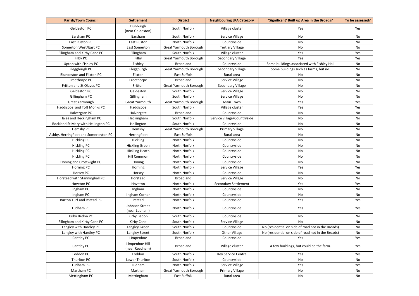| <b>Parish/Town Council</b>             | <b>Settlement</b>                | <b>District</b>               | <b>Neighbouring LPA Category</b> | 'Significant' Built up Area in the Broads?         | To be assessed? |
|----------------------------------------|----------------------------------|-------------------------------|----------------------------------|----------------------------------------------------|-----------------|
| <b>Geldeston PC</b>                    | Dunburgh<br>(near Geldeston)     | South Norfolk                 | Village cluster                  | Yes                                                | Yes             |
| Earsham PC                             | Earsham                          | South Norfolk                 | Service Village                  | No                                                 | No              |
| East Ruston PC                         | <b>East Ruston</b>               | North Norfolk                 | Countryside                      | No                                                 | No              |
| Somerton West/East PC                  | <b>East Somerton</b>             | <b>Great Yarmouth Borough</b> | <b>Tertiary Village</b>          | No                                                 | No              |
| Ellingham and Kirby Cane PC            | Ellingham                        | South Norfolk                 | Village cluster                  | Yes                                                | Yes             |
| Filby PC                               | Filby                            | <b>Great Yarmouth Borough</b> | <b>Secondary Village</b>         | Yes                                                | Yes             |
| Upton with Fishley PC                  | Fishley                          | <b>Broadland</b>              | Countryside                      | Some buildings associated with Fishley Hall        | No              |
| Fleggburgh PC                          | Fleggburgh                       | <b>Great Yarmouth Borough</b> | Secondary Village                | Some buildings such as farms, but no.              | <b>No</b>       |
| <b>Blundeston and Flixton PC</b>       | Flixton                          | <b>East Suffolk</b>           | Rural area                       | No.                                                | No              |
| Freethorpe PC                          | Freethorpe                       | <b>Broadland</b>              | Service Village                  | No                                                 | No              |
| Fritton and St Olaves PC               | Fritton                          | <b>Great Yarmouth Borough</b> | <b>Secondary Village</b>         | No                                                 | No              |
| <b>Geldeston PC</b>                    | Geldeston                        | South Norfolk                 | Service Village                  | No                                                 | No              |
| Gillingham PC                          | Gillingham                       | South Norfolk                 | Service Village                  | No                                                 | <b>No</b>       |
| Great Yarmough                         | <b>Great Yarmouth</b>            | <b>Great Yarmouth Borough</b> | <b>Main Town</b>                 | Yes                                                | Yes             |
| Haddiscoe and Toft Monks PC            | Haddiscoe                        | South Norfolk                 | Village cluster                  | Yes                                                | Yes             |
| Halvergate PC                          | Halvergate                       | <b>Broadland</b>              | Countryside                      | No                                                 | No              |
| Hales and Heckingham PC                | Heckingham                       | South Norfolk                 | Service village/Countryside      | No                                                 | No              |
| Rockland St Mary with Hellington PC    | Hellington                       | South Norfolk                 | Countryside                      | No                                                 | No              |
| Hemsby PC                              | Hemsby                           | <b>Great Yarmouth Borough</b> | Primary Village                  | No                                                 | No              |
| Ashby, Herringfleet and Somerleyton PC | Herringfleet                     | East Suffolk                  | Rural area                       | No                                                 | <b>No</b>       |
| <b>Hickling PC</b>                     | Hickling                         | North Norfolk                 | Countryside                      | No                                                 | No              |
| <b>Hickling PC</b>                     | <b>Hickling Green</b>            | North Norfolk                 | Countryside                      | No                                                 | <b>No</b>       |
| <b>Hickling PC</b>                     | <b>Hickling Heath</b>            | North Norfolk                 | Countryside                      | No                                                 | No              |
| <b>Hickling PC</b>                     | <b>Hill Common</b>               | North Norfolk                 | Countryside                      | No                                                 | No              |
| Honing and Crostwight PC               | Honing                           | <b>North Norfolk</b>          | Countryside                      | No                                                 | No              |
| Horning PC                             | Horning                          | North Norfolk                 | Service Village                  | Yes                                                | Yes             |
| <b>Horsey PC</b>                       | Horsey                           | North Norfolk                 | Countryside                      | No                                                 | No              |
| Horstead with Stanninghall PC          | Horstead                         | <b>Broadland</b>              | Service Village                  | No                                                 | No              |
| Hoveton PC                             | Hoveton                          | North Norfolk                 | <b>Secondary Settlement</b>      | Yes                                                | Yes             |
| Ingham PC                              | Ingham                           | North Norfolk                 | Countryside                      | No                                                 | No              |
| Ingham PC                              | Ingham Corner                    | North Norfolk                 | Countryside                      | No                                                 | No              |
| Barton Turf and Irstead PC             | Irstead                          | North Norfolk                 | Countryside                      | Yes                                                | Yes             |
| Ludham PC                              | Johnson Street<br>(near Ludham)  | North Norfolk                 | Countryside                      | Yes                                                | Yes             |
| Kirby Bedon PC                         | Kirby Bedon                      | South Norfolk                 | Countryside                      | No                                                 | No              |
| Ellingham and Kirby Cane PC            | Kirby Cane                       | South Norfolk                 | Service Village                  | No                                                 | No              |
| Langley with Hardley PC                | Langley Green                    | South Norfolk                 | Countryside                      | No (residential on side of road not in the Broads) | No              |
| Langley with Hardley PC                | Langley Street                   | South Norfolk                 | Other Village                    | No (residential on side of road not in the Broads) | No              |
| Cantley PC                             | Limpenhoe                        | <b>Broadland</b>              | Countryside                      | Yes                                                | Yes             |
| Cantley PC                             | Limpenhoe Hill<br>(near Reedham) | <b>Broadland</b>              | Village cluster                  | A few buildings, but could be the farm.            | Yes             |
| Loddon PC                              | Loddon                           | South Norfolk                 | Key Service Centre               | Yes                                                | Yes             |
| Thurlton PC                            | Lower Thurlton                   | South Norfolk                 | Countryside                      | No                                                 | No              |
| Ludham PC                              | Ludham                           | North Norfolk                 | Service Village                  | Yes                                                | Yes             |
| Martham PC                             | Martham                          | <b>Great Yarmouth Borough</b> | Primary Village                  | No                                                 | No              |
| Mettingham PC                          | Mettingham                       | East Suffolk                  | Rural area                       | No                                                 | No              |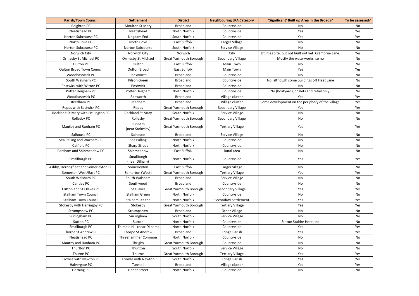| <b>Parish/Town Council</b>             | <b>Settlement</b>           | <b>District</b>               | <b>Neighbouring LPA Category</b> | 'Significant' Built up Area in the Broads?            | To be assessed? |
|----------------------------------------|-----------------------------|-------------------------------|----------------------------------|-------------------------------------------------------|-----------------|
| Beighton PC                            | <b>Moulton St Mary</b>      | <b>Broadland</b>              | Countryside                      | No                                                    | No              |
| Neatishead PC                          | Neatishead                  | <b>North Norfolk</b>          | Countryside                      | Yes                                                   | Yes             |
| Norton Subcourse PC                    | Nogdam End                  | South Norfolk                 | Countryside                      | Yes                                                   | Yes             |
| North Cove PC                          | North Cove                  | East Suffolk                  | Larger Village                   | No                                                    | No              |
| Norton Subcourse PC                    | <b>Norton Subcourse</b>     | South Norfolk                 | Service Village                  | No                                                    | No              |
| Norwich City                           | Norwich City                | Norwich                       | City                             | Utilities Site, but not built out yet. Cremorne Lane. | Yes             |
| Ormesby St Michael PC                  | <b>Ormesby St Michael</b>   | <b>Great Yarmouth Borough</b> | <b>Secondary Village</b>         | Mostly the waterworks, so no                          | No              |
| Oulton PC                              | Oulton                      | <b>East Suffolk</b>           | Main Town                        | No                                                    | No              |
| <b>Oulton Broad Town Council</b>       | <b>Oulton Broad</b>         | <b>East Suffolk</b>           | Main Town                        | Yes                                                   | Yes             |
| Woodbastwick PC                        | Panxworth                   | <b>Broadland</b>              | Countryside                      | No                                                    | No              |
| South Walsham PC                       | Pilson Green                | <b>Broadland</b>              | Countryside                      | No, although some buildings off Fleet Lane            | No              |
| Postwick with Witton PC                | Postwick                    | <b>Broadland</b>              | Countryside                      | No                                                    | No              |
| Potter Heigham PC                      | Potter Heigham              | North Norfolk                 | Countryside                      | No (boatyards, chalets and retail only)               | No              |
| Woodbastwick PC                        | Ranworth                    | <b>Broadland</b>              | Village cluster                  | Yes                                                   | Yes             |
| Reedham PC                             | Reedham                     | <b>Broadland</b>              | Village cluster                  | Some development on the periphery of the village.     | Yes             |
| Repps with Bastwick PC                 | Repps                       | <b>Great Yarmouth Borough</b> | <b>Secondary Village</b>         | Yes                                                   | Yes             |
| Rockland St Mary with Hellington PC    | <b>Rockland St Mary</b>     | South Norfolk                 | Service Village                  | No                                                    | No              |
| Rollesby PC                            | Rollesby                    | <b>Great Yarmouth Borough</b> | <b>Secondary Village</b>         | No                                                    | No              |
| Mautby and Runham PC                   | Runham<br>(near Stokesby)   | <b>Great Yarmouth Borough</b> | <b>Tertiary Village</b>          | Yes                                                   | Yes             |
| Salhouse PC                            | Salhouse                    | <b>Broadland</b>              | Service Village                  | No                                                    | No              |
| Sea Palling and Waxham PC              | Sea Palling                 | North Norfolk                 | Countryside                      | No                                                    | No              |
| Catfield PC                            | <b>Sharp Street</b>         | North Norfolk                 | Countryside                      | No                                                    | No              |
| Barsham and Shipmeadow PC              | Shipmeadow                  | East Suffolk                  | Rural area                       | No                                                    | No              |
| Smallburgh PC                          | Smallburgh<br>(near Dilham) | <b>North Norfolk</b>          | Countryside                      | Yes                                                   | Yes             |
| Ashby, Herringfleet and Somerleyton PC | Somerleyton                 | <b>East Suffolk</b>           | Larger village                   | No                                                    | No              |
| Somerton West/East PC                  | Somerton (West)             | <b>Great Yarmouth Borough</b> | <b>Tertiary Village</b>          | Yes                                                   | Yes             |
| South Walsham PC                       | South Walsham               | <b>Broadland</b>              | Service Village                  | No                                                    | No              |
| Cantley PC                             | Southwood                   | <b>Broadland</b>              | Countryside                      | No                                                    | No              |
| Fritton and St Olaves PC               | St Olaves                   | <b>Great Yarmouth Borough</b> | Secondary Village                | Yes                                                   | Yes             |
| <b>Stalham Town Council</b>            | Stalham Green               | North Norfolk                 | Countryside                      | No                                                    | No              |
| <b>Stalham Town Council</b>            | <b>Stalham Staithe</b>      | North Norfolk                 | <b>Secondary Settlement</b>      | Yes                                                   | Yes             |
| Stokesby with Herringby PC             | Stokesby                    | <b>Great Yarmouth Borough</b> | <b>Tertiary Village</b>          | Yes                                                   | Yes             |
| Strumpshaw PC                          | Strumpshaw                  | <b>Broadland</b>              | <b>Other Village</b>             | No                                                    | No              |
| Surlingham PC                          | Surlingham                  | South Norfolk                 | Service Village                  | No                                                    | No              |
| Sutton PC                              | Sutton                      | North Norfolk                 | Countryside                      | Sutton Staithe Hotel, no                              | No              |
| Smallburgh PC                          | Thimble Hill (near Dilham)  | North Norfolk                 | Countryside                      | Yes                                                   | Yes             |
| Thorpe St Andrew PC                    | Thorpe St Andrew            | <b>Broadland</b>              | <b>Fringe Parish</b>             | Yes                                                   | Yes             |
| Neatishead PC                          | <b>Threehammer Common</b>   | North Norfolk                 | Countryside                      | No                                                    | No              |
| Mautby and Runham PC                   | Thrigby                     | <b>Great Yarmouth Borough</b> | Countryside                      | No                                                    | No              |
| Thurlton PC                            | Thurlton                    | South Norfolk                 | Service Village                  | No                                                    | No              |
| Thurne PC                              | Thurne                      | <b>Great Yarmouth Borough</b> | <b>Tertiary Village</b>          | Yes                                                   | Yes             |
| Trowse with Newton PC                  | Trowse with Newton          | South Norfolk                 | <b>Fringe Parish</b>             | Yes                                                   | Yes             |
| Halvergate PC                          | Tunstall                    | <b>Broadland</b>              | Village cluster                  | Yes                                                   | Yes             |
| Horning PC                             | <b>Upper Street</b>         | North Norfolk                 | Countryside                      | No                                                    | No              |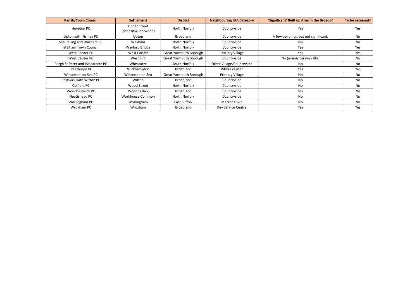| <b>Parish/Town Council</b>      | <b>Settlement</b>                          | <b>District</b>               | <b>Neighbouring LPA Category</b> | 'Significant' Built up Area in the Broads? | To be assessed? |
|---------------------------------|--------------------------------------------|-------------------------------|----------------------------------|--------------------------------------------|-----------------|
| Hoveton PC                      | <b>Upper Street</b><br>(near Bewilderwood) | North Norfolk                 | Countryside                      | Yes                                        | Yes             |
| Upton with Fishley PC           | Upton                                      | <b>Broadland</b>              | Countryside                      | A few buildings, but not significant.      | No              |
| Sea Palling and Waxham PC       | Waxham                                     | North Norfolk                 | Countryside                      | No.                                        | No              |
| <b>Stalham Town Council</b>     | Wayford Bridge                             | North Norfolk                 | Countryside                      | Yes                                        | Yes             |
| West Caister PC                 | <b>West Caister</b>                        | <b>Great Yarmouth Borough</b> | <b>Tertiary Village</b>          | Yes                                        | Yes             |
| West Caister PC                 | West End                                   | <b>Great Yarmouth Borough</b> | Countryside                      | No (mainly caravan site)                   | No              |
| Burgh St Peter and Wheatacre PC | Wheatacre                                  | South Norfolk                 | Other Village/Countryside        | No.                                        | No              |
| Freethorpe PC                   | Wickhampton                                | <b>Broadland</b>              | Village cluster                  | Yes                                        | Yes             |
| Winterton-on-Sea PC             | Winterton on Sea                           | <b>Great Yarmouth Borough</b> | <b>Primary Village</b>           | No                                         | No              |
| Postwick with Witton PC         | Witton                                     | <b>Broadland</b>              | Countryside                      | No                                         | No              |
| Catfield PC                     | Wood Street                                | North Norfolk                 | Countryside                      | No.                                        | No              |
| Woodbastwick PC                 | Woodbastick                                | <b>Broadland</b>              | Countryside                      | No                                         | No              |
| Neatishead PC                   | Workhouse Common                           | North Norfolk                 | Countryside                      | No.                                        | No              |
| Worlingham PC                   | Worlingham                                 | East Suffolk                  | Market Town                      | No                                         | No              |
| Wroxham PC                      | Wroxham                                    | <b>Broadland</b>              | <b>Key Service Centre</b>        | Yes                                        | Yes             |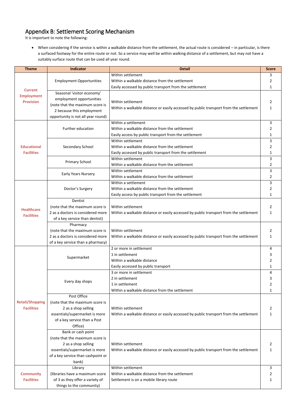## <span id="page-13-0"></span>Appendix B: Settlement Scoring Mechanism

It is important to note the following:

 • When considering if the service is within a walkable distance from the settlement, the actual route is considered – in particular, is there a surfaced footway for the entire route or not. So a service may well be within walking distance of a settlement, but may not have a suitably surface route that can be used all year round.

| <b>Theme</b>                                | Indicator                                              | <b>Detail</b>                                                                         | <b>Score</b>   |
|---------------------------------------------|--------------------------------------------------------|---------------------------------------------------------------------------------------|----------------|
|                                             |                                                        | Within settlement                                                                     | 3              |
|                                             | <b>Employment Opportunities</b>                        | Within a walkable distance from the settlement                                        | 2              |
| <b>Current</b>                              |                                                        | Easily accessed by public transport from the settlement                               | -1             |
| <b>Employment</b>                           | Seasonal 'visitor economy'                             |                                                                                       |                |
| <b>Provision</b>                            | employment opportunities                               | Within settlement                                                                     | 2              |
|                                             | (note that the maximum score is                        | Within a walkable distance or easily accessed by public transport from the settlement | 1              |
|                                             | 2 because this employment                              |                                                                                       |                |
|                                             | opportunity is not all year round)                     |                                                                                       |                |
|                                             |                                                        | Within a settlement                                                                   | 3              |
|                                             | Further education                                      | Within a walkable distance from the settlement                                        | 2              |
|                                             |                                                        | Easily access by public transport from the settlement                                 | 1              |
|                                             |                                                        | Within settlement                                                                     | 3              |
| <b>Educational</b>                          | Secondary School                                       | Within a walkable distance from the settlement                                        | $\overline{2}$ |
| <b>Facilities</b>                           |                                                        | Easily accessed by public transport from the settlement<br>Within settlement          | 1<br>3         |
|                                             | <b>Primary School</b>                                  | Within a walkable distance from the settlement                                        | 2              |
|                                             |                                                        | Within settlement                                                                     | 3              |
|                                             | <b>Early Years Nursery</b>                             | Within a walkable distance from the settlement                                        | $\overline{2}$ |
|                                             |                                                        | Within a settlement                                                                   | 3              |
|                                             | Doctor's Surgery                                       | Within a walkable distance from the settlement                                        | $\overline{2}$ |
|                                             |                                                        | Easily access by public transport from the settlement                                 | 1              |
|                                             | Dentist                                                |                                                                                       |                |
|                                             | (note that the maximum score is                        | Within settlement                                                                     | 2              |
| <b>Healthcare</b>                           | 2 as a doctors is considered more                      | Within a walkable distance or easily accessed by public transport from the settlement | -1             |
| <b>Facilities</b>                           | of a key service than dentist)                         |                                                                                       |                |
|                                             | Pharmacy                                               |                                                                                       |                |
|                                             | (note that the maximum score is                        | Within settlement                                                                     | 2              |
|                                             | 2 as a doctors is considered more                      | Within a walkable distance or easily accessed by public transport from the settlement | 1              |
|                                             | of a key service than a pharmacy)                      |                                                                                       |                |
|                                             |                                                        | 2 or more in settlement                                                               | 4              |
|                                             | Supermarket                                            | 1 in settlement                                                                       | 3              |
|                                             |                                                        | Within a walkable distance                                                            | $\overline{2}$ |
|                                             |                                                        | Easily accessed by public transport                                                   | 1              |
|                                             |                                                        | 3 or more in settlement                                                               | 4              |
|                                             | Every day shops                                        | 2 in settlement                                                                       | 3              |
|                                             |                                                        | 1 in settlement                                                                       | $\overline{2}$ |
|                                             |                                                        | Within a walkable distance from the settlement                                        | $\mathbf{1}$   |
|                                             | Post Office                                            |                                                                                       |                |
| <b>Retail/Shopping</b><br><b>Facilities</b> | (note that the maximum score is<br>2 as a shop selling | Within settlement                                                                     | $\mathbf{2}$   |
|                                             | essentials/supermarket is more                         | Within a walkable distance or easily accessed by public transport from the settlement | 1              |
|                                             | of a key service than a Post                           |                                                                                       |                |
|                                             | Office)                                                |                                                                                       |                |
|                                             | Bank or cash point                                     |                                                                                       |                |
|                                             | (note that the maximum score is                        |                                                                                       |                |
|                                             | 2 as a shop selling                                    | Within settlement                                                                     | $\overline{2}$ |
|                                             | essentials/supermarket is more                         | Within a walkable distance or easily accessed by public transport from the settlement | $\mathbf{1}$   |
|                                             | of a key service than cashpoint or                     |                                                                                       |                |
|                                             | bank)                                                  |                                                                                       |                |
|                                             | Library                                                | Within settlement                                                                     | 3              |
| <b>Community</b>                            | (libraries have a maximum score                        | Within a walkable distance from the settlement                                        |                |
| <b>Facilities</b>                           | of 3 as they offer a variety of                        | Settlement is on a mobile library route                                               |                |
|                                             | things to the community)                               |                                                                                       |                |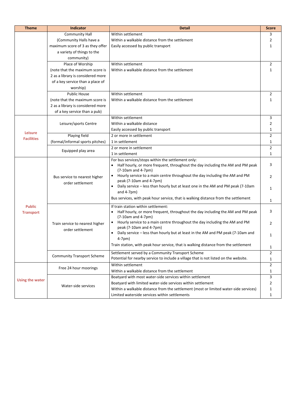| <b>Theme</b>                        | <b>Indicator</b>                                    | <b>Detail</b>                                                                                                                                                                                                                                           |                     |  |  |  |  |  |  |
|-------------------------------------|-----------------------------------------------------|---------------------------------------------------------------------------------------------------------------------------------------------------------------------------------------------------------------------------------------------------------|---------------------|--|--|--|--|--|--|
|                                     | <b>Community Hall</b>                               | Within settlement                                                                                                                                                                                                                                       | 3                   |  |  |  |  |  |  |
|                                     | (Community Halls have a                             | Within a walkable distance from the settlement                                                                                                                                                                                                          | 2                   |  |  |  |  |  |  |
|                                     | maximum score of 3 as they offer                    | Easily accessed by public transport                                                                                                                                                                                                                     |                     |  |  |  |  |  |  |
|                                     | a variety of things to the                          |                                                                                                                                                                                                                                                         |                     |  |  |  |  |  |  |
|                                     | community)                                          |                                                                                                                                                                                                                                                         |                     |  |  |  |  |  |  |
|                                     | Place of Worship                                    | Within settlement                                                                                                                                                                                                                                       | $\overline{2}$      |  |  |  |  |  |  |
|                                     | (note that the maximum score is                     | Within a walkable distance from the settlement                                                                                                                                                                                                          | 1                   |  |  |  |  |  |  |
|                                     | 2 as a library is considered more                   |                                                                                                                                                                                                                                                         |                     |  |  |  |  |  |  |
|                                     | of a key service than a place of                    |                                                                                                                                                                                                                                                         |                     |  |  |  |  |  |  |
|                                     | worship)                                            |                                                                                                                                                                                                                                                         |                     |  |  |  |  |  |  |
|                                     | <b>Public House</b>                                 | Within settlement                                                                                                                                                                                                                                       |                     |  |  |  |  |  |  |
|                                     | (note that the maximum score is                     | Within a walkable distance from the settlement                                                                                                                                                                                                          | 1                   |  |  |  |  |  |  |
|                                     | 2 as a library is considered more                   |                                                                                                                                                                                                                                                         |                     |  |  |  |  |  |  |
|                                     | of a key service than a pub)                        |                                                                                                                                                                                                                                                         |                     |  |  |  |  |  |  |
| <b>Leisure</b><br><b>Facilities</b> |                                                     | Within settlement                                                                                                                                                                                                                                       | 3                   |  |  |  |  |  |  |
|                                     | Leisure/sports Centre                               | Within a walkable distance                                                                                                                                                                                                                              |                     |  |  |  |  |  |  |
|                                     |                                                     | Easily accessed by public transport                                                                                                                                                                                                                     | 1                   |  |  |  |  |  |  |
|                                     | Playing field                                       | 2 or more in settlement                                                                                                                                                                                                                                 | $\overline{2}$      |  |  |  |  |  |  |
|                                     | (formal/informal sports pitches)                    | 1 in settlement                                                                                                                                                                                                                                         | 1                   |  |  |  |  |  |  |
|                                     |                                                     | 2 or more in settlement                                                                                                                                                                                                                                 | $\overline{2}$      |  |  |  |  |  |  |
|                                     | Equipped play area                                  | 1 in settlement                                                                                                                                                                                                                                         | 1                   |  |  |  |  |  |  |
| <b>Public</b><br><b>Transport</b>   | Bus service to nearest higher                       | For bus services/stops within the settlement only:<br>Half hourly, or more frequent, throughout the day including the AM and PM peak<br>$\bullet$<br>$(7-10am$ and 4-7pm)<br>Hourly service to a main centre throughout the day including the AM and PM | 3<br>2              |  |  |  |  |  |  |
|                                     | order settlement                                    | peak (7-10am and 4-7pm)<br>Daily service – less than hourly but at least one in the AM and PM peak (7-10am<br>and $4-7$ pm $)$<br>Bus services, with peak hour service, that is walking distance from the settlement                                    | 1                   |  |  |  |  |  |  |
|                                     |                                                     | If train station within settlement:<br>Half hourly, or more frequent, throughout the day including the AM and PM peak<br>$(7-10am$ and 4-7pm)<br>Hourly service to a main centre throughout the day including the AM and PM                             | 1<br>3              |  |  |  |  |  |  |
|                                     | Train service to nearest higher<br>order settlement | peak (7-10am and 4-7pm)<br>Daily service - less than hourly but at least in the AM and PM peak (7-10am and<br>$4-7$ pm $)$<br>Train station, with peak hour service, that is walking distance from the settlement                                       | 2<br>1<br>1         |  |  |  |  |  |  |
|                                     | <b>Community Transport Scheme</b>                   | Settlement served by a Community Transport Scheme<br>Potential for nearby service to include a village that is not listed on the website.                                                                                                               | $\overline{2}$<br>1 |  |  |  |  |  |  |
|                                     | Free 24 hour moorings                               | Within settlement<br>Within a walkable distance from the settlement                                                                                                                                                                                     | $\overline{2}$<br>1 |  |  |  |  |  |  |
| <b>Using the water</b>              |                                                     | Boatyard with most water-side services within settlement<br>Boatyard with limited water-side services within settlement                                                                                                                                 | 3                   |  |  |  |  |  |  |
|                                     | Water-side services                                 | Within a walkable distance from the settlement (most or limited water-side services)<br>Limited waterside services within settlements                                                                                                                   | 1                   |  |  |  |  |  |  |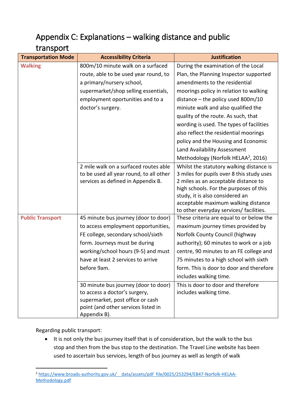## <span id="page-15-0"></span>Appendix C: Explanations – walking distance and public

#### transport

| <b>Transportation Mode</b> | <b>Accessibility Criteria</b>           | <b>Justification</b>                            |  |  |  |  |  |  |  |  |
|----------------------------|-----------------------------------------|-------------------------------------------------|--|--|--|--|--|--|--|--|
| <b>Walking</b>             | 800m/10 minute walk on a surfaced       | During the examination of the Local             |  |  |  |  |  |  |  |  |
|                            | route, able to be used year round, to   | Plan, the Planning Inspector supported          |  |  |  |  |  |  |  |  |
|                            | a primary/nursery school,               | amendments to the residential                   |  |  |  |  |  |  |  |  |
|                            | supermarket/shop selling essentials,    | moorings policy in relation to walking          |  |  |  |  |  |  |  |  |
|                            | employment oportunities and to a        | distance – the policy used $800m/10$            |  |  |  |  |  |  |  |  |
|                            | doctor's surgery.                       | miniute walk and also qualified the             |  |  |  |  |  |  |  |  |
|                            |                                         | quality of the route. As such, that             |  |  |  |  |  |  |  |  |
|                            |                                         | wording is used. The types of facilities        |  |  |  |  |  |  |  |  |
|                            |                                         | also reflect the residential moorings           |  |  |  |  |  |  |  |  |
|                            |                                         | policy and the Housing and Economic             |  |  |  |  |  |  |  |  |
|                            |                                         | Land Availability Assessment                    |  |  |  |  |  |  |  |  |
|                            |                                         | Methodology (Norfolk HELAA <sup>2</sup> , 2016) |  |  |  |  |  |  |  |  |
|                            | 2 mile walk on a surfaced routes able   | Whilst the statutory walking distance is        |  |  |  |  |  |  |  |  |
|                            | to be used all year round, to all other | 3 miles for pupils over 8 this study uses       |  |  |  |  |  |  |  |  |
|                            | services as defined in Appendix B.      | 2 miles as an acceptable distance to            |  |  |  |  |  |  |  |  |
|                            |                                         | high schools. For the purposes of this          |  |  |  |  |  |  |  |  |
|                            |                                         | study, it is also considered an                 |  |  |  |  |  |  |  |  |
|                            |                                         | acceptable maximum walking distance             |  |  |  |  |  |  |  |  |
|                            |                                         | to other everyday services/ facilities.         |  |  |  |  |  |  |  |  |
| <b>Public Transport</b>    | 45 minute bus journey (door to door)    | These criteria are equal to or below the        |  |  |  |  |  |  |  |  |
|                            | to access employment opportunities,     | maximum journey times provided by               |  |  |  |  |  |  |  |  |
|                            | FE college, secondary school/sixth      | Norfolk County Council (highway                 |  |  |  |  |  |  |  |  |
|                            | form. Journeys must be during           | authority); 60 minutes to work or a job         |  |  |  |  |  |  |  |  |
|                            | working/school hours (9-5) and must     | centre, 90 minutes to an FE college and         |  |  |  |  |  |  |  |  |
|                            | have at least 2 services to arrive      | 75 minutes to a high school with sixth          |  |  |  |  |  |  |  |  |
|                            | before 9am.                             | form. This is door to door and therefore        |  |  |  |  |  |  |  |  |
|                            |                                         | includes walking time.                          |  |  |  |  |  |  |  |  |
|                            | 30 minute bus journey (door to door)    | This is door to door and therefore              |  |  |  |  |  |  |  |  |
|                            | to access a doctor's surgery,           | includes walking time.                          |  |  |  |  |  |  |  |  |
|                            | supermarket, post office or cash        |                                                 |  |  |  |  |  |  |  |  |
|                            | point (and other services listed in     |                                                 |  |  |  |  |  |  |  |  |
|                            | Appendix B).                            |                                                 |  |  |  |  |  |  |  |  |

Regarding public transport:

 • It is not only the bus journey itself that is of consideration, but the walk to the bus stop and then from the bus stop to the destination. The Travel Line website has been used to ascertain bus services, length of bus journey as well as length of walk

<sup>-</sup><sup>2</sup> https://www.broads-authority.gov.uk/ data/assets/pdf file/0025/253294/EB47-Norfolk-HELAA-[Methodology.pdf](https://www.broads-authority.gov.uk/__data/assets/pdf_file/0025/253294/EB47-Norfolk-HELAA-Methodology.pdf)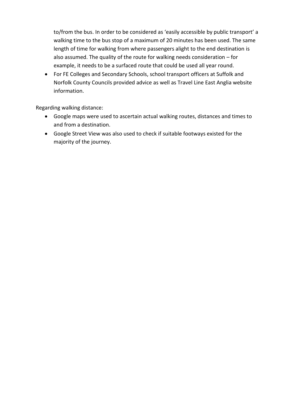to/from the bus. In order to be considered as 'easily accessible by public transport' a walking time to the bus stop of a maximum of 20 minutes has been used. The same length of time for walking from where passengers alight to the end destination is also assumed. The quality of the route for walking needs consideration – for example, it needs to be a surfaced route that could be used all year round.

 • For FE Colleges and Secondary Schools, school transport officers at Suffolk and Norfolk County Councils provided advice as well as Travel Line East Anglia website information.

Regarding walking distance:

- • Google maps were used to ascertain actual walking routes, distances and times to and from a destination.
- <span id="page-16-0"></span> • Google Street View was also used to check if suitable footways existed for the majority of the journey.